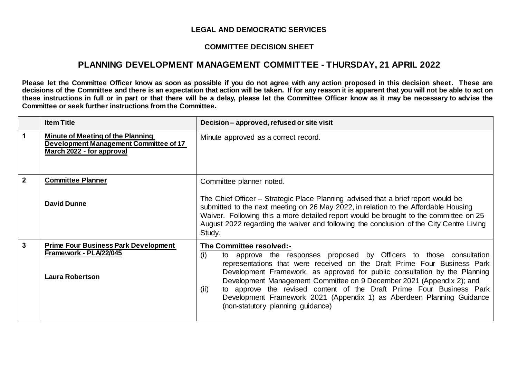## **LEGAL AND DEMOCRATIC SERVICES**

## **COMMITTEE DECISION SHEET**

## **PLANNING DEVELOPMENT MANAGEMENT COMMITTEE - THURSDAY, 21 APRIL 2022**

**Please let the Committee Officer know as soon as possible if you do not agree with any action proposed in this decision sheet. These are decisions of the Committee and there is an expectation that action will be taken. If for any reason it is apparent that you will not be able to act on these instructions in full or in part or that there will be a delay, please let the Committee Officer know as it may be necessary to advise the Committee or seek further instructions from the Committee.**

|                | <b>Item Title</b>                                                                                               | Decision - approved, refused or site visit                                                                                                                                                                                                                                                                                                                                                                                                                                                                                                        |
|----------------|-----------------------------------------------------------------------------------------------------------------|---------------------------------------------------------------------------------------------------------------------------------------------------------------------------------------------------------------------------------------------------------------------------------------------------------------------------------------------------------------------------------------------------------------------------------------------------------------------------------------------------------------------------------------------------|
| 1              | <b>Minute of Meeting of the Planning</b><br>Development Management Committee of 17<br>March 2022 - for approval | Minute approved as a correct record.                                                                                                                                                                                                                                                                                                                                                                                                                                                                                                              |
| $\overline{2}$ | <b>Committee Planner</b>                                                                                        | Committee planner noted.                                                                                                                                                                                                                                                                                                                                                                                                                                                                                                                          |
|                | <b>David Dunne</b>                                                                                              | The Chief Officer – Strategic Place Planning advised that a brief report would be<br>submitted to the next meeting on 26 May 2022, in relation to the Affordable Housing<br>Waiver. Following this a more detailed report would be brought to the committee on 25<br>August 2022 regarding the waiver and following the conclusion of the City Centre Living<br>Study.                                                                                                                                                                            |
| $\mathbf{3}$   | <b>Prime Four Business Park Development</b><br>Framework - PLA/22/045<br><b>Laura Robertson</b>                 | <b>The Committee resolved:-</b><br>(i)<br>approve the responses proposed by Officers to those consultation<br>to<br>representations that were received on the Draft Prime Four Business Park<br>Development Framework, as approved for public consultation by the Planning<br>Development Management Committee on 9 December 2021 (Appendix 2); and<br>to approve the revised content of the Draft Prime Four Business Park<br>(ii)<br>Development Framework 2021 (Appendix 1) as Aberdeen Planning Guidance<br>(non-statutory planning guidance) |